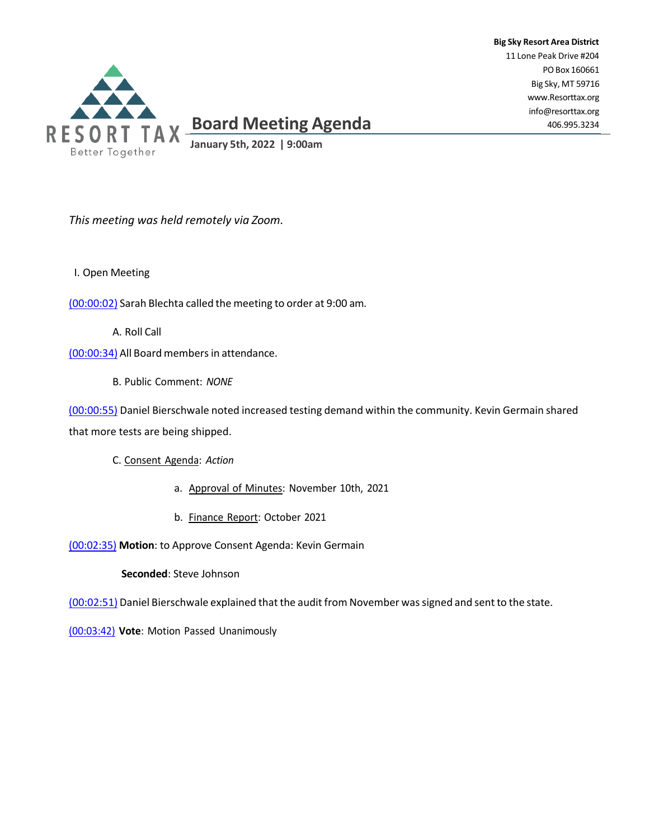

*This meeting was held remotely via Zoom*.

I. Open Meeting

(00:00:02) Sarah Blechta called the meeting to order at 9:00 am.

A. Roll Call

(00:00:34) All Board members in attendance.

B. Public Comment: *NONE*

(00:00:55) Daniel Bierschwale noted increased testing demand within the community. Kevin Germain shared that more tests are being shipped.

**Big Sky Resort Area District** 11 Lone Peak Drive #204

> POBox 160661 Big Sky, MT 59716 [www.Resorttax.org](http://www.resorttax.org/) [info@resorttax.org](mailto:info@resorttax.org) 406.995.3234

C. Consent Agenda: *Action*

- a. Approval of Minutes: November 10th, 2021
- b. Finance Report: October 2021

(00:02:35) **Motion**: to Approve Consent Agenda: Kevin Germain

**Seconded**: Steve Johnson

(00:02:51) Daniel Bierschwale explained that the audit from November wassigned and sent to the state.

(00:03:42) **Vote**: Motion Passed Unanimously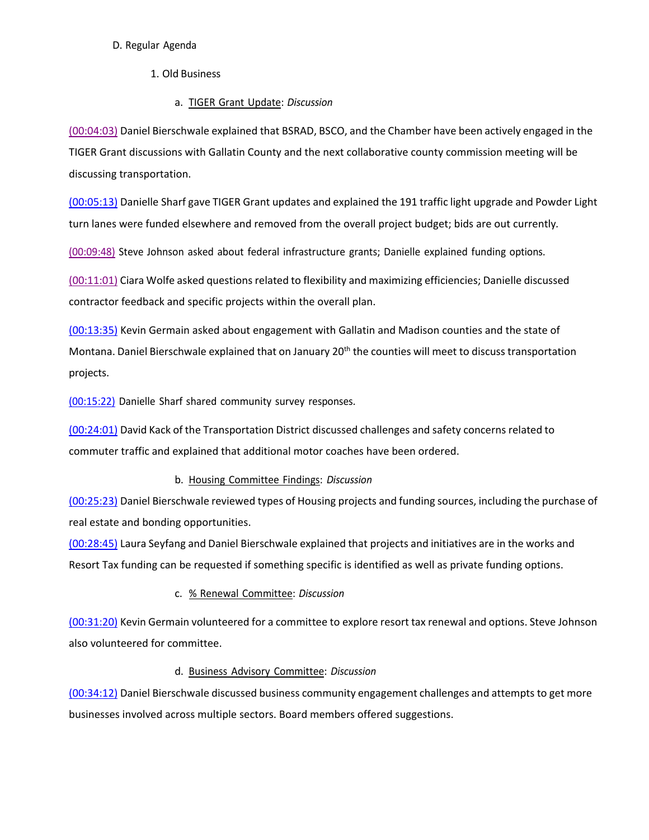#### D. Regular Agenda

- 1. Old Business
	- a. TIGER Grant Update: *Discussion*

(00:04:03) Daniel Bierschwale explained that BSRAD, BSCO, and the Chamber have been actively engaged in the TIGER Grant discussions with Gallatin County and the next collaborative county commission meeting will be discussing transportation.

(00:05:13) Danielle Sharf gave TIGER Grant updates and explained the 191 traffic light upgrade and Powder Light turn lanes were funded elsewhere and removed from the overall project budget; bids are out currently*.* 

(00:09:48) Steve Johnson asked about federal infrastructure grants; Danielle explained funding options.

(00:11:01) Ciara Wolfe asked questions related to flexibility and maximizing efficiencies; Danielle discussed contractor feedback and specific projects within the overall plan.

(00:13:35) Kevin Germain asked about engagement with Gallatin and Madison counties and the state of Montana. Daniel Bierschwale explained that on January  $20<sup>th</sup>$  the counties will meet to discuss transportation projects.

(00:15:22) Danielle Sharf shared community survey responses.

(00:24:01) David Kack of the Transportation District discussed challenges and safety concerns related to commuter traffic and explained that additional motor coaches have been ordered.

### b. Housing Committee Findings: *Discussion*

(00:25:23) Daniel Bierschwale reviewed types of Housing projects and funding sources, including the purchase of real estate and bonding opportunities.

(00:28:45) Laura Seyfang and Daniel Bierschwale explained that projects and initiatives are in the works and Resort Tax funding can be requested if something specific is identified as well as private funding options.

# c. % Renewal Committee: *Discussion*

(00:31:20) Kevin Germain volunteered for a committee to explore resort tax renewal and options. Steve Johnson also volunteered for committee.

### d. Business Advisory Committee: *Discussion*

(00:34:12) Daniel Bierschwale discussed business community engagement challenges and attempts to get more businesses involved across multiple sectors. Board members offered suggestions.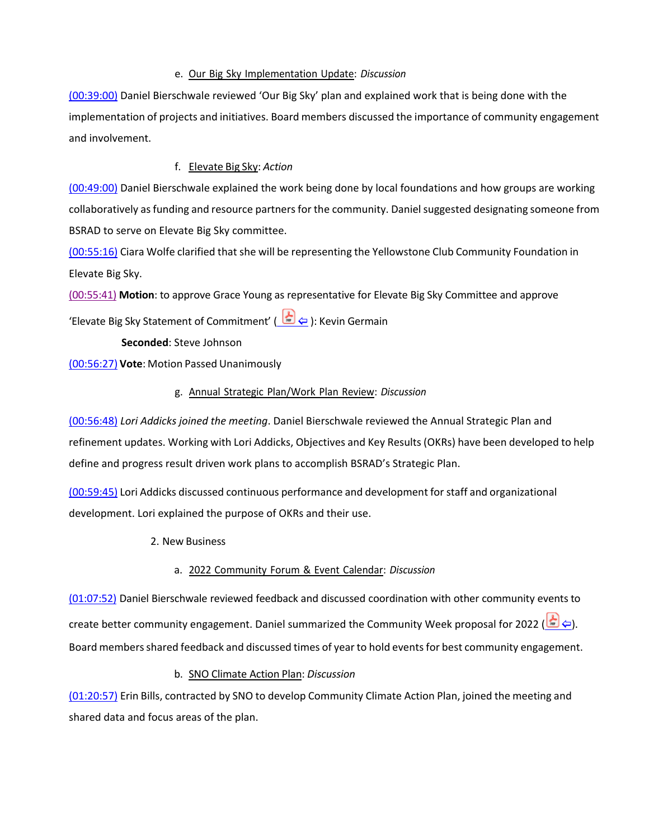#### e. Our Big Sky Implementation Update: *Discussion*

(00:39:00) Daniel Bierschwale reviewed 'Our Big Sky' plan and explained work that is being done with the implementation of projects and initiatives. Board members discussed the importance of community engagement and involvement.

## f. Elevate Big Sky: *Action*

(00:49:00) Daniel Bierschwale explained the work being done by local foundations and how groups are working collaboratively asfunding and resource partnersfor the community. Daniel suggested designating someone from BSRAD to serve on Elevate Big Sky committee.

(00:55:16) Ciara Wolfe clarified that she will be representing the Yellowstone Club Community Foundation in Elevate Big Sky.

(00:55:41) **Motion**: to approve Grace Young as representative for Elevate Big Sky Committee and approve

'Elevate Big Sky Statement of Commitment' (  $\Rightarrow$   $\Rightarrow$  ): Kevin Germain

**Seconded**: Steve Johnson

(00:56:27) **Vote**: Motion Passed Unanimously

## g. Annual Strategic Plan/Work Plan Review: *Discussion*

(00:56:48) *Lori Addicks joined the meeting*. Daniel Bierschwale reviewed the Annual Strategic Plan and refinement updates. Working with Lori Addicks, Objectives and Key Results (OKRs) have been developed to help define and progress result driven work plans to accomplish BSRAD's Strategic Plan.

(00:59:45) Lori Addicks discussed continuous performance and development for staff and organizational development. Lori explained the purpose of OKRs and their use.

2. New Business

# a. 2022 Community Forum & Event Calendar: *Discussion*

(01:07:52) Daniel Bierschwale reviewed feedback and discussed coordination with other community events to create better community engagement. Daniel summarized the Community Week proposal for 2022 ( $\geq$ ). Board members shared feedback and discussed times of year to hold events for best community engagement.

### b. SNO Climate Action Plan: *Discussion*

(01:20:57) Erin Bills, contracted by SNO to develop Community Climate Action Plan, joined the meeting and shared data and focus areas of the plan.